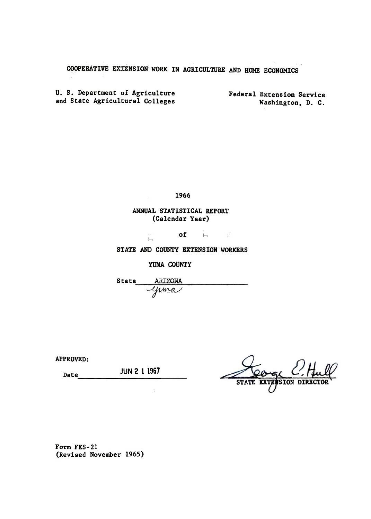## COOPERATIVE EXTENSION WORK IN AGRICULTURE AND HOME ECONOMICS

U. S. Department of Agriculture and State Agricultural Colleges

Federal Extension Service Washington, D. C.

1966

## ANNUAL STATISTICAL REPORT (Calendar Year)

of h

STATE AND COUNTY EXTENSION WORKERS

YUMA COUNTY

h

State ARIZONA ARIZONA<br>Yuma

APPROVED:

Date JUN 2 1 1967

**STATE SION** 

Form FES-21 (Revised November 1965)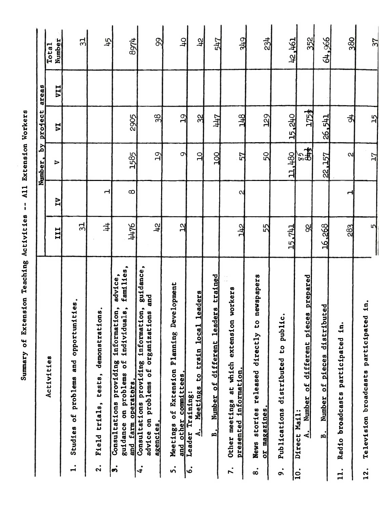|                                                                                                                                                       |                  |           | Number, by project |                  | areas      |                        |
|-------------------------------------------------------------------------------------------------------------------------------------------------------|------------------|-----------|--------------------|------------------|------------|------------------------|
| Accivities                                                                                                                                            | III              | N         | $\triangleright$   | 디                | <b>IIA</b> | Number<br><b>Total</b> |
| Studies of problems and opportunities.<br>$\mathbf{I}$                                                                                                | 31               |           |                    |                  |            | 31                     |
| demonstrations.<br>Field trials, tests,<br>$\mathbf{a}$                                                                                               | 丰                | ᆟ         |                    |                  |            | 45                     |
| families,<br>advice,<br>individuals,<br>information,<br>Consultations providing<br>guidance on problems of<br>and farm operators.<br>$\ddot{\bullet}$ | 4476             | $\infty$  | 1585               | 2905             |            | 8974                   |
| guidance,<br>and<br>Consultations providing information,<br>ations<br>advice on problems of organiz<br>agencies.<br>4.                                | तै               |           | $\mathfrak{D}$     | 38               |            | 8                      |
| Development<br>ø<br>Plannin<br>Meetings of Extension<br>and other committees.<br>٠<br>n                                                               | $\mathbf{r}$     |           | $\circ$            | $\overline{19}$  |            | $\frac{1}{2}$          |
| cal leaders<br>Meetings to train lo<br>Leader Training:<br>$\mathbf{E}$<br>。<br>。                                                                     |                  |           | 의                  | $\frac{2}{3}$    |            | 곇                      |
| leaders trained<br>different<br>Number of<br>$\mathbf{B}$ .                                                                                           |                  |           | 200                | 711              |            | 547                    |
| sion workers<br>Other meetings at which exten<br>presented information.<br>r.                                                                         | 775              | Ν         | 57                 | 778              |            | 349                    |
| newspapers<br>ິບ<br>ມ<br>released directly<br>or magazines.<br>stories<br><b>News</b><br>$\dot{\infty}$                                               | 55               |           | 50                 | 29               |            | 234                    |
| to public.<br>Publications distributed<br>$\ddot{\bullet}$                                                                                            | <b>141</b><br>15 |           | 11,480             | 15,240           |            | 12,461                 |
| pieces prepared<br>Number of different<br>Direct Mail:<br>$\mathbf{A}_{\bullet}$<br> c                                                                | g                |           | $rac{2}{3}$        | 175 <sub>2</sub> |            | 352                    |
| distributed<br>Number of pieces<br>в.                                                                                                                 | 16,268           |           | 22,157             | 26,541           |            | 64,966                 |
| in.<br>Radio broadcasts participated<br>11.                                                                                                           | 283              | <u>اب</u> | $\mathbf{N}$       | 히                |            | 380                    |
| in.<br>Television broadcasts participated<br>$\overline{12}$ .                                                                                        | ιN               |           | $\overline{L}$     | $\frac{15}{2}$   |            | 37                     |
|                                                                                                                                                       |                  |           |                    |                  |            |                        |
|                                                                                                                                                       |                  |           |                    |                  |            |                        |

Summary of Extension Teaching Activities -- All Extension Workers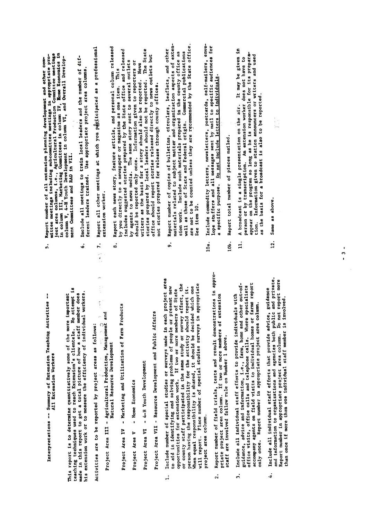Interpretations -- Summary of Extension Teaching Activities --All Extension Workers

Activities are to be reported by project areas as follows:

 $\tilde{\cdot}$ 

Project Area III - Agricultural Production, Management and  $P$ Natural Resource Development Project Area IV - Marketing and Utilization of Farm Products

 $\blacksquare$  Home Economics Project Area V Project Area VI - 4-H Youth Development

Project Area VII - Resource Development and Public Affairs

- Report number in appropriate project area column. Do not report more than one individual state in the more individual state on the more individual state on the more in the more in<br>The more in the more in the more in the more in the more in the more in the more in the more in the more in th project area columm.  $\ddot{ }$
- $4.1.1.1.1$  Include all individual staff efforts that provide advice, guidance advice, guidance advice, guidance advice, guidance advice, guidance advice, guidance advice, guidance advice, guidance advice, guidance advice and information to organization to organizations and public and public and private. In the public and private. pilate project area.<br>staff are involved follow rule on Number 1 above.  $\ddot{2}$ .
	- DITICE VISILS, OILLUE Cairs and controlled contribute or farms report accompany agents on field visits to individual homes or farms report Include all individual staff efforts to provide individuals with only once. Report number in appropriate project area column.  $\ddot{ }$
- and information to organizations and agencies both public and private.<br>Report number in appropriate project area column. Do not report more Include all individual staff efforts that provide advice, guidance Report number in appropriate project area.<br>than once if more than one individual staff member is involved.  $\ddot{ }$
- $\sum_{i=1}^{n}$  and  $\sum_{i=1}^{n}$  are  $\sum_{i=1}^{n}$ project a column area columns area columns area columns area columns area columns area columns area columns a<br>Second area columns area columns area columns area columns area columns area columns area columns area columns
	-
- accompany agents on field visits to individual homes or farms report
- $\vec{P}$  -- Summary of Extension Teaching  $\vec{P}$  -- Summary of  $\vec{P}$  -- Summary of  $\vec{P}$  $\begin{matrix} \mathbf{e} & \mathbf{e} & \mathbf{e} \\ \mathbf{e} & \mathbf{e} & \mathbf{e} \end{matrix}$ ocher<br>teaching techniques used to determine a professor<br>does of the more important more important to report to reach extension<br>and the more in the more to get a total picture of the more to get a total picture<br>e staff memb  $\frac{1}{2}$  extension workers of  $\frac{1}{2}$  in the efficiency of  $\frac{1}{2}$  in the efficiency of  $\frac{1}{2}$  in the efficiency of  $\frac{1}{2}$  in the effective of  $\frac{1}{2}$  in the effective of  $\frac{1}{2}$  in the effective of  $\frac{1}{2$ Active areas areas areas areas and the project and the project and the project areas and the project areas and<br>The project areas as follows: and the project areas and the project areas and the project areas areas and the stories prepared by local leaders should not be reported. The State<br>office should report stories released directly to news outlets but<br>not stories prepared for release through county offices. Agricultural Prince Development and Natural Resource Development and Natural Resource Development and Natural <br>
Natural Resource Development and Natural Resource Development and Natural Resource Development and Natural Re<br> Project Area IV - Marketing and Utilization of Project Area IV - Marketing and U Project Area Studies Constants Project Area VI - 4-H Youth Development Project Area VII - Resource Development and Public Affairs - Public Affairs - Public Affairs - Public Affairs<br>Project Affairs - Public Affairs - Public Affairs - Public Affairs - Public Affairs - Public Affairs - Public 1. Include 1. Include 1. Include 1. Include 1. Include 1. Include 1. Include 1. Include 1. Include 1. Include 1<br>The surveys made in the include in the include 1. Include 1. Include 1. Include 1. Include 1. Include 1. Inclu  $\frac{1}{2}$  in identify  $\frac{1}{2}$  in  $\frac{1}{2}$  in  $\frac{1}{2}$  in  $\frac{1}{2}$  in  $\frac{1}{2}$  in  $\frac{1}{2}$  in  $\frac{1}{2}$  in  $\frac{1}{2}$  in  $\frac{1}{2}$  in  $\frac{1}{2}$  in  $\frac{1}{2}$  in  $\frac{1}{2}$  in  $\frac{1}{2}$  in  $\frac{1}{2}$  in  $\frac{1}{2}$  in  $\frac{$ opportunities for the extension work. If the state of State members of State members of State members of State<br>The State members of State members of State members of State members of State members of State members of Stat  $\frac{1}{2}$ or county stated in the same study of study or survey of  $\frac{1}{2}$  and  $\frac{1}{2}$  . person having the responsibility for the activity for the activity for the activity of the activity of the act<br>The activity showld report it. The activity showld report it. It is a showld report in the activity of the act<br> When the should be detailed be decided which one of the decided which one of the should be defined which one o<br>The decided which one of the decided which one of the should be decided which one of the shock of the shock of<br> will report of the special studies surveys in a propriety in a propriety of surveys in a propriety of the survey of the survey of the survey of the survey of the survey of the survey of the survey of the survey of the surv zert number of the field trials, the field trials, the field of the result of the result of the result of the r<br>The sultant of the substantial of the result of the result of the result of the results of the results of the primate provided area columns of two or more many of the second that the second of the second the second the s<br>Simulation of the columns of the second that the second the second the second terms of the second terms of the<br> staff are in the search and the search in the search in the search in the search in the search in the search i 3. Include all individual staff efforts to provide individuals with guidance, advice and information, i.e., farm, home and other out-of-

only once. Report number in appropriate project area columns in appropriate project area columns in appropriate project area columns in appropriate project area columns in appropriate project area columns in appropriate p

- sion work. Include such materials prepared in the county office as<br>well as those of State and Federal origin. Commercial publications<br>are not to be counted unless they are recommended by the State office. office viSits, office calls and telephone calls. Where specialists
	-
- 
- ou .... program ... ...... .... announcers or writers and used<br>Information given to station announcers or writers and used as the basis for a broadcast is also to be reported. tion.
- lOa. Include commodity letters, newsletters, postcards, self-mailers, envelOb. Report total number of pieces mailed.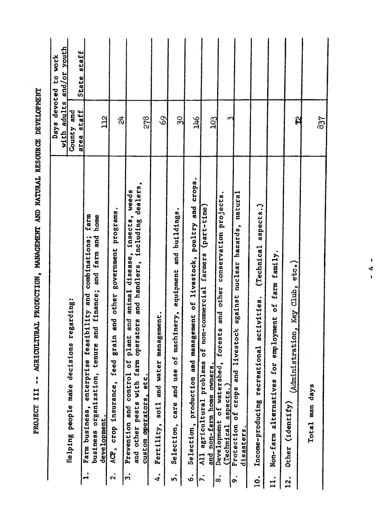| Days       | with adults and/or youth<br>to work<br>devoted                             |
|------------|----------------------------------------------------------------------------|
| County and | State staff                                                                |
|            |                                                                            |
|            |                                                                            |
|            |                                                                            |
|            |                                                                            |
|            |                                                                            |
|            |                                                                            |
|            |                                                                            |
|            |                                                                            |
|            |                                                                            |
|            |                                                                            |
|            |                                                                            |
|            |                                                                            |
|            |                                                                            |
|            | area staff<br>22<br>278<br>69<br>30<br>91/1<br>ਨ੍ਹ<br>103<br>Ŋ<br>837<br>3 |

 $\frac{1}{2}$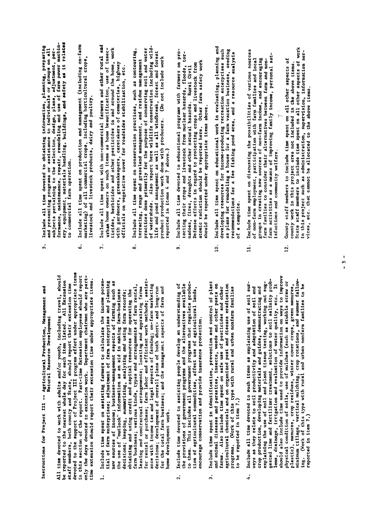Instructions for Project III -- Agricultural Production, Management and Natural Resource Development gested lime and fertilizer treatment, solutions to solutions to solutions to solutions to solutions to solutions to solutions to solutions to solutions to solutions to solutions to solutions to solutions to solutions to so  $\mathbb{E}_{\mathbf{z}}$  is drainable and evaluation of water quality, etc. It is a set of water  $\mathbb{E}_{\mathbf{z}}$ All time devoted to work with adults and/or youth, including travel, should<br>be reported to the nearest whole day for each item listed. All Extension<br>staff members, both county and State, should report their extension tent<br>

- $\frac{1}{2}$ s include time used to provide information on ways to improve the  $\frac{1}{2}$ physical condition of social conditions of the studies of the straight of the straight of the straight of the plastic des crops, manures, manures, crops, crops, crops, crops, crops, crops, crops, crops, crops, crops, cro minimum tillage, vertical mulching, crop rotations, and summer fallowing. (Work of the type with rural and urban non-this type with rural and urban the urban non-this type with th<br>This type with rural and urban non-this type with the urban of the urban non-this type with the urban non-this home development work.  $\ddot{ }$ 
	- encourage conservation and provide insurance protection.  $2.$
- $\ddot{ }$
- farm activities as <sup>a</sup> means of improving family income, personal satisfactions and community welfare. explaining the use of soil and plant tissue testing, working out sug-Include all time devoted to such items as explaining use of soil sur- $12.7 \div 12.7 \div 12.7$  state time spent on all other aspects of all other aspects of all other aspects of all other aspects of a veys as they relate to soil productivity and adaptation of soil and<br>crop production, developing materials and guides, demonstrating and  $\frac{1}{2}$  in this project area not included in the above items. lems, drainage, irrigation and evaluation of water quality, etc.  $\sum_{i=1}^{n} \frac{1}{i!} \frac{1}{i!} \frac{1}{i!} \frac{1}{i!} \frac{1}{i!} \frac{1}{i!} \frac{1}{i!} \frac{1}{i!} \frac{1}{i!} \frac{1}{i!} \frac{1}{i!} \frac{1}{i!} \frac{1}{i!} \frac{1}{i!} \frac{1}{i!} \frac{1}{i!} \frac{1}{i!} \frac{1}{i!} \frac{1}{i!} \frac{1}{i!} \frac{1}{i!} \frac{1}{i!} \frac{1}{i!} \frac{1}{i!} \frac{1}{i!} \frac{1}{i!} \frac$  $\ddotsc$  , which as administration, information, information, information, information, information, information server,  $\ddotsc$  $\mathbf{v}$  can be allocated to the above items. reported in item 7.)  $\ddot{ }$
- Instructions for Project III --Agricultural Production, Management and home development work.
	-
	- to be reported in the property of the property of the property of the property of the property of the property<br>The property of the property of the property of the property of the property of the property of the property o<br>
- Natural Resource Development All time devoted to work with a should be reported to the nearest whole day is a should be reported to the nearest whole day is a should be reported to the nearest whole day is a should be reported to the nearest whole day state members, both county and States, showld report the support of Project III project its county of Project I<br>devoted to the support of Project III project III project III project III project III project III project its<br> fin the report of the report of the report. only the days devoted to extension work. Department chairmen who are part-time extension should report their extenSion time under appropriate items. 1. Include the spent of a spent of the income potential factor of the income potential factor of the income po<br>The income potential factor of the income potential factor of the income potential factor of the income potent tial of farmer of farmer of farmer of farmer of farmer of farmer of farmer of farmer of farmer of farmer of fa new sources of income income in the such as a such as a such as a such as a such as a such as a such as a such<br>The such aspects of farming such as a such as a such as a such as a such as a such as a such as a such as a su the use of "outlook" in making the use of the search and in making farmers of the search of the search of the s decisions; keeping, summarizing and using the summarizing and using farm records; and using farm records; a su obtaining and using credit and capital resources for operations and contract the capital resources for operati farm business; various various various various various various various various various various various various<br>Various various various various various various various various various various various various various variou leasing and contractual arrangements; location and approximate farms and approximate farms farms and approxima for rental or purchase; farm labor and efficient work methods; assistance with income tax and tax and aspects of farming; on-farming; on-farming; on-farming; on-farming; on-farmin decisions; development of overall plans of the both short- and long-running of the both short- and long-runnin for the total farm business; and the manage.ner.t aspects of farm and 2. Include time devoted to assisting the development of a unit of an understanding of the second of the second<br>Personalize the people of a unit of the second of the second of the second of the second of the second of the the provisions of government programs and the alternatives and the alternatives and the alternatives and the a to the manual government produces and all government produces and all government products and all government p tion of agricultural commodities, affect use of agricultural lands, encourage conservation and provide insurance insurance provide insurance provide insurance provide in the prot 3. Include time spent in the spent in the spent in the spent in the spent in the plant of plants in the plants and and and parasites and parasites, insects, weeds and other pests on personal personal personal and other pe farms. Also include time spent on spent on safe use of personal of personal or personal other persons and othe<br>The spent of persons and other persons and other persons and other persons and other persons are persons and o agricultural chemicals and on organized pest and disease era and disease era and disease era and disease era d programs. (Work of this type with rural and urban non-
- 4. Include all time devoted to such items as explaining use of soil surveys as they relate to soil productivity and adaptation of soil and
- 
- of non-farm employment, participation with farm families and local<br>groups in creating new sources of non-farm income, and encouraging farm families to consider their alternatives between farm and non- $\vec{a}$
- 5. Include all time devoted to obtaining information, planning, preparing  $\widetilde{\mathbf{a}}$  and  $\widetilde{\mathbf{a}}$  and  $\widetilde{\mathbf{a}}$  and  $\widetilde{\mathbf{a}}$  and  $\widetilde{\mathbf{a}}$  and  $\widetilde{\mathbf{a}}$  and  $\widetilde{\mathbf{a}}$  and  $\widetilde{\mathbf{a}}$  and  $\widetilde{\mathbf{a}}$  and  $\widetilde{\mathbf{a}}$  and  $\widetilde{\mathbf{a}}$  and  $\widetilde{\mathbf{a}}$  and  $\widetilde{\mathbf{a}}$  and  $s$ subjects pertaining to the selection, design, plans, adjustment, perf- $\begin{array}{cc} \mathbf{r} & \mathbf{r} & \mathbf{r} \\ \mathbf{r} & \mathbf{r} & \mathbf{r} \\ \mathbf{r} & \mathbf{r} & \mathbf{r} \end{array}$  $\begin{array}{c}\n\circ \mathbf{c} \\
\circ \mathbf{c} \\
\circ \mathbf{c}\n\end{array}$  $t^{\text{max}}$  $\begin{array}{c} \n\mathbf{5} \\
\mathbf{6} \\
\mathbf{7} \\
\mathbf{8}\n\end{array}$ marketing) of all commercial crops, including horticultural crops, including horticultural crops, including ho<br>
all crops, including horticultural crops, including horticultural crops, including horticultural crops, includ livestock and livestock products, dairy and poultry.  $\frac{3}{2}$  beneficial farmers and other rules and other rules and other rules and other rules and other rules and other rules and other rules and other rules and other rules and other rules and other rules and other rules  $\Xi$  home of insection, use of insection, use of insection, use of  $\Xi$  $t = \frac{1}{2}$  $\overline{C}$  greens  $\overline{C}$  centres, caretakers of cemeteries,  $\overline{C}$  $\overline{a}$  on vegetative cover  $\overline{a}$  $\mathbb{R}^3$  include all time spent on conservation problems on conservation problems  $\mathbb{R}^3$  in  $\mathbb{R}^3$  $\frac{1}{2}$  range and  $\frac{1}{2}$  range and residue management, and residue management, and residue management, and residue management, and residue management, and residue management, and residue management, and residue manag practices done primarily for the purpose of conserving soil and water of watersheds. Also report here wildlife conservation including wild- $\frac{a}{b}$  and  $\frac{a}{b}$  and  $\frac{a}{c}$ product production work done with producers. -(Do not include work  $r = r$  and  $r = r$  and  $r = r$  and 7 above.  $\frac{9}{2}$  and  $\frac{9}{2}$  and  $\frac{9}{2}$  and  $\frac{9}{2}$  and  $\frac{9}{2}$  and  $\frac{9}{2}$  and  $\frac{9}{2}$  and  $\frac{9}{2}$  and  $\frac{9}{2}$  and  $\frac{9}{2}$  and  $\frac{9}{2}$  and  $\frac{9}{2}$  and  $\frac{9}{2}$  and  $\frac{9}{2}$  and  $\frac{9}{2}$  and  $\frac{9}{2}$  a  $t_{\rm c}$  and  $t_{\rm c}$  from nuclear-hazards, floods, tor- $\frac{d}{dx}$  and  $\frac{d}{dx}$  other natural hazards. Rural civil  $\frac{d}{dx}$  or  $\frac{d}{dx}$  or  $\frac{d}{dx}$  or  $\frac{d}{dx}$  or  $\frac{d}{dx}$  $\sum_{i=1}^{n}$  define to protecting crops and livestock from  $\sum_{i=1}^{n}$  $\mathbf{F}$  radiation should be reported here. Other farm safety works works are  $\mathbf{F}$ should be reported under appropriate items above.  $10.06$  all time spent on  $9.04$  in evaluation work in evaluation  $9.04$  in evaluation  $9.04$  in evaluation  $9.04$  in evaluation  $9.04$  in evaluation  $9.04$  in evaluation  $9.04$  in the spent of  $9.04$  in the spent of  $9.0$  $\ddot{a}$  resources for income-producing recreation enterprises such as  $\ddot{b}$  $\bm{a}$  for a farm vacation business, seeding a farm vacation business, seeding  $\bm{a}$  $r_{\rm eff}$  for a fee finite point area, and are all  $r_{\rm eff}$ **បើ**ត្តដូច  $11.$  Include time spent on discussing the possibilities of various sources of various sources of various sources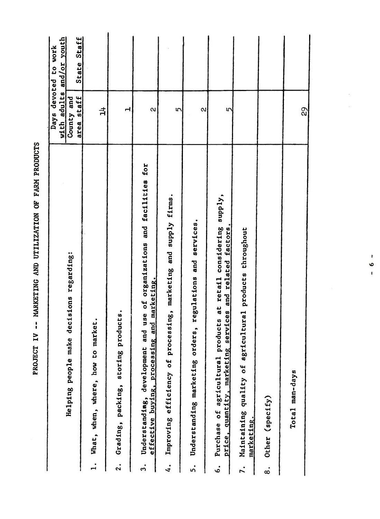|                       | סבישנים במנה במנה במשפט ה                                                                                                      |                          |                                      |
|-----------------------|--------------------------------------------------------------------------------------------------------------------------------|--------------------------|--------------------------------------|
|                       |                                                                                                                                | with adults              | and/or youth<br>Days devoted to work |
|                       | Helping people make decisions regarding:                                                                                       | area staff<br>County and | State Staff                          |
| $\ddot{ }$            | market.<br>What, when, where, how to                                                                                           | ᅻ                        |                                      |
| $\ddot{\mathbf{2}}$ . | products.<br>Grading, packing, storing                                                                                         | d                        |                                      |
| ິ່                    | and use of organizations and facilities for<br>effective buying, processing and marketing.<br>Understanding, development       | $\alpha$                 |                                      |
| $\ddot{ }$            | ocessing, marketing and supply firms.<br>Improving efficiency of pr                                                            | 5                        |                                      |
| 5.                    | regulations and services.<br>Understanding marketing orders,                                                                   | $\alpha$                 |                                      |
| $\dot{\circ}$         | Purchase of agricultural products at retail considering supply,<br>services and related factors.<br>price, quantity, marketing | 5                        |                                      |
|                       | agricultural products throughout<br>Maintaining quality of<br>marketing.                                                       |                          |                                      |
| $\dot{\infty}$        | Other (specify)                                                                                                                |                          |                                      |
|                       | Total man-days                                                                                                                 | 29                       |                                      |

PROJECT IV -- MARKETING AND UTILIZATION OF FARM PRODUCTS

ŀ.  $\circ$  $\mathbf{r}$ 

 $\bar{\alpha}$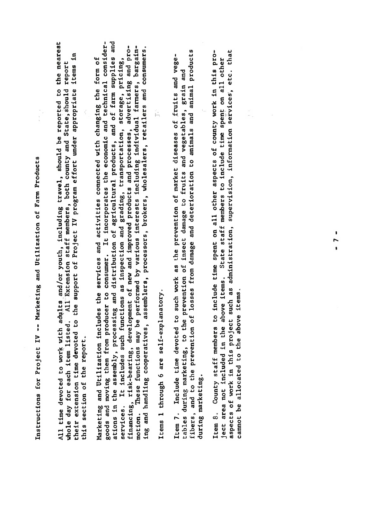Instructions for Project IV -- Marketing and Utilization of Farm Products

All time devoted to work with adults and/or youth, including travel, should be reported to the nearest muore eay ror caen riem received to the support of Project IV program effort under appropriate items in<br>their extension time devoted to the support of Project IV program effort under appropriate items in whole day for each item listed. All Extension staff members, both county and State, should report this section of the report.

Instructions for Project IV -- Marketing and Utilization of Farm Products  $A$  time devoted to world to world be report. In the nearest  $\frac{1}{2}$  with a nearest  $\frac{1}{2}$  with a nearest  $\frac{1}{2}$  with  $\frac{1}{2}$  with  $\frac{1}{2}$  with  $\frac{1}{2}$  with  $\frac{1}{2}$  with  $\frac{1}{2}$  with  $\frac{1}{2}$  with  $\frac{1$  $\mathbb{R}$  is defined as  $\mathbb{R}$  and  $\mathbb{R}$  or each county and States; should report and States; should report and States; should report and States; should report and States; should report and States; should report and S  $\frac{1}{2}$  by  $\frac{1}{2}$  by  $\frac{1}{2}$  by  $\frac{1}{2}$  by  $\frac{1}{2}$  by  $\frac{1}{2}$  by  $\frac{1}{2}$  by  $\frac{1}{2}$  by  $\frac{1}{2}$  by  $\frac{1}{2}$  by  $\frac{1}{2}$  by  $\frac{1}{2}$  by  $\frac{1}{2}$  by  $\frac{1}{2}$  by  $\frac{1}{2}$  by  $\frac{1}{2}$  by  $\frac{1}{2}$  by the report of the report of the report of the report of the report of the report of the report of the report o<br>The report of the report of the report of the report of the report of the report of the report of the report o<br>  $M_{\rm H}$  and  $M_{\rm H}$  includes the services and activities connected with changing the form of  $M_{\rm H}$  and  $M_{\rm H}$  and  $M_{\rm H}$  and  $M_{\rm H}$  and  $M_{\rm H}$  and  $M_{\rm H}$  are  $M_{\rm H}$  and  $M_{\rm H}$  and  $M_{\rm H}$  and  $M_{\rm H}$  goods and moving them from producer to consumer. It is included to consider the economic and technical constant<br>It is included the economic and technical constants the economic and technical constants the economic and tech  $\begin{bmatrix} a_1 & a_2 & a_3 \\ a_2 & a_3 & a_4 \end{bmatrix}$  and distribution of a gricultural products, and of a supplies and of a supplies and of a supplies and of a supplies and of a supplies and of a supplies and of a supplies and of a supp services. It is included as inspections as inspections as inspection and grading, transportation, storage, pri<br>Services as inspections and grading, pricing, pricing, pricing, pricing, pricing, pricing, pricing, pricing, p financing, risk-bearing, development of new and improved products and processes, adv�rtising and promotion. These functions may be performed by various interests including individual farmers, bargaining and handling cooperatives, assemblers, processors, brokers, wholesalers, retailers and consumers.  $\begin{array}{ccc} \texttt{0} & \texttt{0} & \texttt{0} & \texttt{0} & \texttt{0} & \texttt{0} & \texttt{0} & \texttt{0} & \texttt{0} & \texttt{0} & \texttt{0} & \texttt{0} & \texttt{0} & \texttt{0} & \texttt{0} & \texttt{0} & \texttt{0} & \texttt{0} & \texttt{0} & \texttt{0} & \texttt{0} & \texttt{0} & \texttt{0} & \texttt{0} & \texttt{0} & \texttt{0} & \texttt{0} & \texttt{0} & \texttt{0} & \texttt{0} & \texttt$ Item 7. Include time devoted to such work as the prevention of market diseases of jruits and vege- $\begin{array}{ccc} \text{tational} & \text{tational} & \text{tational} \\ \text{tational} & \text{tational} & \text{tational} \\ \text{tational} & \text{tational} & \text{tational} \\ \text{tational} & \text{tational} & \text{tational} \\ \text{tational} & \text{tational} & \text{tational} \\ \text{tational} & \text{tational} & \text{tational} \\ \text{tational} & \text{tational} & \text{tational} \\ \text{tational} & \text{tational} & \text{tational} \\ \text{tational} & \text{tational} & \text{tational} \\ \text{tational} & \text{tational} & \text{tational} \\ \text{$ fibers, and to the prevention of losses from damage and deterioration to animals and animal products during marketing marketing market in den som med andere med andere med andere med andere med andere med andere<br>En der med andere med andere med andere med andere med andere med andere med andere med andere med andere med Item 8. County staff members to include time spent on all other aspects of county work in this project area not included in the above items. State staff members to include time spent on all other aspects of work in this project such as administration, supervision, information ser�ices', etc. that canoted to the above items. motion.

Items 1 through 6 are self-explanatory.

during marketing.

ject area not included in the above items. cannot be allocated to the above items.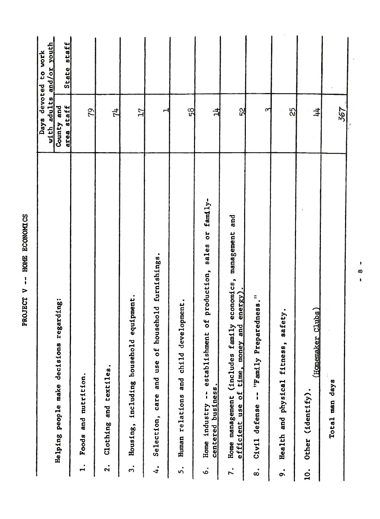|                   |                                                                                                                   |                          | Days devoted to work |
|-------------------|-------------------------------------------------------------------------------------------------------------------|--------------------------|----------------------|
|                   |                                                                                                                   | with adults              | and/or youth         |
|                   | Helping people make decisions regarding:                                                                          | area staff<br>County and | State staff          |
| ٠<br>ы            | Foods and nutrition.                                                                                              | 22                       |                      |
| $\bullet$<br>2    | ٠<br>Clothing and textiles                                                                                        | 친                        |                      |
| ຕໍ                | Housing, including household equipment.                                                                           | 17                       |                      |
| $\ddot{4}$        | f household furnishings.<br>Selection, care and use of                                                            | ٣                        |                      |
| ທ່                | development.<br>Human relations and child                                                                         | 58                       |                      |
| Ġ.                | sales or family-<br>Home industry -- establishment of production,<br>centered business                            | 白                        |                      |
| 7.                | and<br>family economics, management<br>energy<br>time, money and<br>Home management (includes<br>efficient use of | 52                       |                      |
| $\ddot{\text{8}}$ | reparedness."<br>Civil defense $-$ "Family P                                                                      | ᠬ                        |                      |
| o.                | safety.<br>$\ddot{\mathbf{s}}$ ,<br>Health and physical fitnes                                                    | 25                       |                      |
| $\dot{q}$         | (Homemaker Clubs)<br>Other (identify).                                                                            | 丰                        |                      |
|                   | Total man days                                                                                                    | 367                      |                      |
|                   |                                                                                                                   |                          |                      |

 $\begin{array}{c} \rule{0.2cm}{0.15mm} \end{array}$  $\infty$  $\mathbf{I}$ 

l,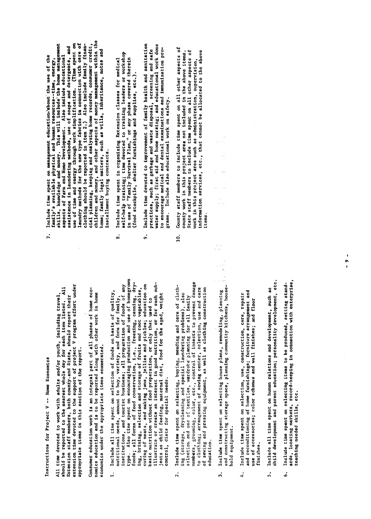## Instructions for Project V -- Home Economics

All time devoted to work with adults and/or youth, including travel,<br>should be reported to the mearest whole day for each item listed. All<br>extension staff members, both county-and State, should report their<br>extension time appropriate items in this section of the report.

economics under the appropriate items enumerated.

 $\begin{array}{ccc} \text{I.} & \text{I.} & \text{I.} & \text{I.} & \text{I.} & \text{I.} & \text{I.} & \text{I.} & \text{I.} & \text{I.} & \text{I.} & \text{I.} & \text{I.} & \text{I.} & \text{I.} & \text{I.} & \text{I.} & \text{I.} & \text{I.} & \text{I.} & \text{I.} & \text{I.} & \text{I.} & \text{I.} & \text{I.} & \text{I.} & \text{I.} & \text{I.} & \text{I.} & \text{I.} & \text{$  $\overline{\mathbf{r}}$  are connected in connection with  $\overline{\mathbf{r}}$  in connection with enterprise,  $\overline{\mathbf{r}}$  in connection with  $\overline{\mathbf{r}}$ control, diets for special needs.  $\frac{1}{2}$ 

and reconditioning of home furnishings; furniture arrangement and

 $\frac{1}{\frac{1}{2}}$ 

- education.  $\overline{2}$
- child development and parent education; personality development, etc. hold equipment.  $\ddot{ }$
- and reconditioning of home furnishings; furniture arrangement and<br>use of accessories; color schemes and wall finishes; and floor finishes.  $\ddot{4}$
- child development and parent education; personality development, etc. Include all time spent on human relations and development, such as 5.
- ards, locating markets, record-keeping in connection with enterprise, Include time spent on selecting items to be produced, setting standteaching needed skills, etc. ė.
- $\begin{bmatrix} 1 & 1 & 1 \\ 1 & 1 & 1 \end{bmatrix}$   $\begin{bmatrix} 1 & 1 & 1 \\ 1 & 1 & 1 \end{bmatrix}$   $\begin{bmatrix} 1 & 1 & 1 \\ 1 & 1 & 1 \end{bmatrix}$  $A \subset B$  devoted to work with a unit and on youth and  $A \subset B$  with a second travel, including travel, including travel, including travel, including travel, including travel, including travel, including travel, including trav showld be reported to the total to the second to the contract who it is a contract when the contract who it is<br>All the second in the contract who is a contract of the contract of the contract of the contract of the contra Extension staff members, both county states and States in the State of the States of the States of the States extension time devoted to the support of  $\frac{1}{2}$  project v project v project v project v project v project v project v project v project v project v project v project v project v project v project v project v project v a **bedieve the report of the report** Consumer education work is an integral part of all phases of the season of the season of the season of the sea nomics education and in home reports and in home reported along with other with other with other with other wo<br>The discrete along with other with our with our with our contract of the second with the second with the second economics under the appropriate items enumerated. It is a sense of the appropriate items and appropriate items<br>In the approximation of the approximation of the approximation of the approximation of the approximation of th 2. Include all time spent on selection of the spent of the spent of the spent of the spent of the spent of the<br>2. Include a spent of the spent of the spent of the spent of the spent of the spent of the spent of the spent  $\frac{1}{2}$  and  $\frac{1}{2}$  and  $\frac{1}{2}$  and  $\frac{1}{2}$  and  $\frac{1}{2}$  and  $\frac{1}{2}$  and  $\frac{1}{2}$  and  $\frac{1}{2}$  and  $\frac{1}{2}$  and  $\frac{1}{2}$  and  $\frac{1}{2}$  and  $\frac{1}{2}$  and  $\frac{1}{2}$  and  $\frac{1}{2}$  and  $\frac{1}{2}$  and  $\frac{1}{2}$  a  $\frac{1}{2}$   $\frac{4}{3}$   $\frac{6}{3}$   $\frac{6}{2}$   $\frac{1}{2}$   $\frac{1}{2}$   $\frac{1}{2}$   $\frac{1}{2}$   $\frac{1}{2}$   $\frac{1}{2}$   $\frac{1}{2}$   $\frac{1}{2}$   $\frac{1}{2}$   $\frac{1}{2}$   $\frac{1}{2}$   $\frac{1}{2}$   $\frac{1}{2}$   $\frac{1}{2}$   $\frac{1}{2}$   $\frac{1}{2}$   $\frac{1}{2}$   $\frac{1}{2}$  three production and use of the spent of the spent of the spent of the spent of the spent of the spent of the <br>International production and use of the spent of the spent of the spent of the spent of the spent of the spent foods; all foods; all foods; all foods; and forms of foods; and forms of foods; and for freezing, and for free<br>In the freezing, and for freezing, dry-freezing, and for freezing, and for freezing, and for freezing and for ing, britis and selection and storage of fruits and root vegetables, and root vegetables, and root vegetables,<br>India storage of fruits and root vegetables, and root vegetables, and root vegetables, and root vegetables, an curing of meats, and making jamain selling jamain pickles; jamain selling jamain selling variation on and pick<br>Pickless; education on pickles; education on pickles; education on and pickless; education on and pickless; ed a sed preparation with the preparation with the use of the use of the use of the use of the use of the use of <br>A sed to be used to be used to be used to be used to be used to be used to be used to be used to be used to be illustrate or create and interest in good nutrition, or for such subjects as child food for the age for the age of the age of the age of the age of the age of the age of the age control, die teen verschieden verschieden verschieden verschieden verschieden verschieden verschieden verschie<br>Lieben 2. Include time spent .on selecting, buying; mending and care of cloth $i$  & and special language, dragger and special language of  $i$ se Lecz London and use. members, groots, groots, color, color, control . control . control . control . control . control . control . c<br>Insects to prevent damage . control . control . control . control . control . control . control . control . co to clothing; arrangement of sewing center, selection, use and care of sewing and present as well as well as well as construction of the construction of the construction of the c<br>Several construction of the construction of the construction of the construction of the construction of the co  $\ddotsc$ 3. Japan spent on selection on selection of the spent of the spent of the spent of the spent of the spent of t<br>Spent of the spent of the spent of the spent of the spent of the spent of the spent of the spent of the spent and construction storage space, planning community  $\sim$ 
	- (food stockpile, shelter furnishings and supplies, etc.).
- 
- Include time devoted to improvement of family health and sanitation<br>practices, such as garbage and waste disposal, screening and safe<br>water supply; first aid and home nursing; and educational work done<br>to encourage mediae 4. Include time spent on selection, use, construction, care, repair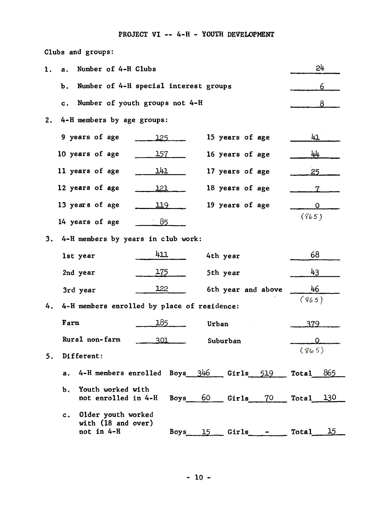## PROJECT VI -- 4-H - YOUTH DEVELOPMENT

| Clubs and groups: |  |
|-------------------|--|
|-------------------|--|

| ı. | Number of 4-H Clubs<br>а.                                             |                                       |                     | 24                 |
|----|-----------------------------------------------------------------------|---------------------------------------|---------------------|--------------------|
|    | Ъ.                                                                    | Number of 4-H special interest groups |                     | 6                  |
|    | c.                                                                    | Number of youth groups not 4-H        |                     | 8                  |
| 2. | 4-H members by age groups:                                            |                                       |                     |                    |
|    | 9 years of age                                                        | 125                                   | 15 years of age     | 41                 |
|    | 10 years of age                                                       | 157                                   | 16 years of age     | 44                 |
|    | 11 years of age                                                       | <u> 141 -</u>                         | 17 years of age     | 25                 |
|    | 12 years of age                                                       | <u> 121  </u>                         | 18 years of age     | 7.                 |
|    | 13 years of age                                                       | 119                                   | 19 years of age     | 0                  |
|    | 14 years of age                                                       | $\pm 85$                              |                     | (865)              |
| 3. | 4-H members by years in club work:                                    |                                       |                     |                    |
|    | 1st year                                                              | 411                                   | 4th year            | 68                 |
|    | 2nd year                                                              | 175                                   | 5th year            | 43                 |
|    | 3rd year                                                              | 122                                   | 6th year and above  | 46                 |
| 4. | 4-H members enrolled by place of residence:                           |                                       |                     | (865)              |
|    | Farm                                                                  | 185                                   | Urban               | 379                |
|    | Rural non-farm                                                        | 301                                   | Suburban            | Ω                  |
| 5. | Different:                                                            |                                       |                     | (865)              |
|    | а.                                                                    | 4-H members enrolled Boys 346         | $Girls$ 519         | Total 865          |
|    | Youth worked with<br>Ъ.<br>not enrolled in 4-H                        | Boys                                  | 60 —<br>70<br>Girls | 130<br>Total       |
|    | Older youth worked<br>$c_{\cdot}$<br>with (18 and over)<br>not in 4-H | Boys                                  | Girls<br>15         | <b>Total</b><br>15 |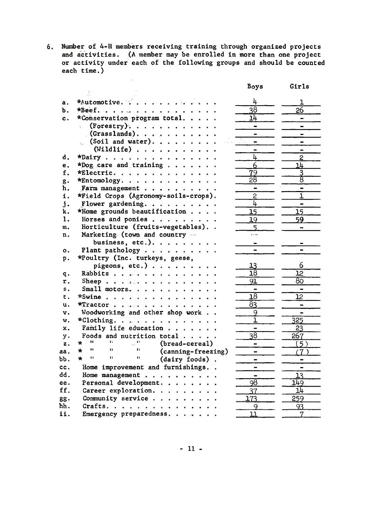6. Number of 4-H members receiving training through organized projects and activities. (A member may be enrolled in more than one project<br>or activity under each of the following groups and should be counted each time.)

|     |                                                                    | Boys                     | Girls                        |
|-----|--------------------------------------------------------------------|--------------------------|------------------------------|
|     | F                                                                  |                          |                              |
| а.  | *Automotive.                                                       | 4                        | ı                            |
| Ъ.  | *Beef.                                                             | $\overline{38}$          | 26                           |
| c.  | *Conservation program total.                                       | 14                       | $\overline{\phantom{0}}$     |
|     | (Forestry). $\ldots$<br>C.                                         | ۰                        | $\overline{\phantom{0}}$     |
|     | $(Grasslands)$ .                                                   |                          | -                            |
|     | (Soil and water).                                                  | -                        |                              |
|     | (Wildlife) $\ldots$                                                | $\blacksquare$           |                              |
| d.  | *Dairy<br>$\bullet$                                                | 4                        | $\overline{c}$               |
| e.  | *Dog care and training                                             | $\overline{6}$           | 14                           |
| f.  | *Electric.                                                         | 79                       | 3                            |
| g.  | *Entomology.                                                       | 28                       | ह                            |
| h.  | Farm management                                                    | $\blacksquare$           | $\blacksquare$               |
| i.  | *Field Crops (Agronomy-soils-crops).                               | 2                        | ī                            |
| j.  | Flower gardening.                                                  | 4                        | $\rightarrow$                |
| k.  | *Home grounds beautification                                       | 15                       | $\overline{15}$              |
| 1.  | Horses and ponies                                                  | 19                       | 59                           |
| m.  | Horticulture (fruits-vegetables)                                   | 5                        |                              |
| n.  | Marketing (town and country --                                     | .                        |                              |
|     | business, etc.).                                                   |                          |                              |
| о.  | Plant pathology                                                    |                          |                              |
| p.  | *Poultry (Inc. turkeys, geese,                                     |                          |                              |
|     | pigeons, etc.)                                                     | 13                       | 6                            |
| q.  | Rabbits                                                            | $\overline{18}$          | <u>12</u>                    |
| r.  | Sheep $\cdots$ is a serious contract of $\cdots$                   | 91                       | 80                           |
| s.  | Small motors.                                                      |                          | $\qquad \qquad \blacksquare$ |
| t.  | *Swine                                                             | $\overline{18}$          | <u> 12</u>                   |
| u.  | *Tractor                                                           | 83                       | $\blacksquare$               |
| v.  | Woodworking and other shop work                                    | 9                        | $\blacksquare$               |
| w.  | *Clothing.                                                         | $\mathbf 1$              | $\overline{325}$             |
| x.  | Family life education                                              | $\overline{\phantom{0}}$ | 23                           |
| y.  | Foods and nutrition total                                          | $\overline{38}$          | 267                          |
| z.  | tt.<br>$\blacksquare$<br>$\leq 0$<br>$\star$<br>(bread-cereal)     |                          | (5)                          |
| aa. | Ħ<br>$\mathbf{H}$<br>$\mathbf{r}$<br>$\star$<br>(canning-freezing) |                          | (7)                          |
| bЪ. | ÷<br>Ĥ.<br>$\mathbf{H}$<br>$\mathbf{H}$<br>(dairy foods).          | $\blacksquare$           | $\qquad \qquad \blacksquare$ |
| cc. | Home improvement and furnishings                                   | $\blacksquare$           | $\qquad \qquad \blacksquare$ |
| dd. | Home management                                                    | -                        | 13                           |
| ee. | Personal development.                                              | $\overline{98}$          | 149                          |
| ff. | Career exploration.                                                | 37                       | $\overline{11}$              |
| gg. | Community service                                                  | 173                      | 259                          |
| hh. | Crafts.                                                            | 9                        | 93                           |
| ii. | Emergency preparedness.                                            | 11                       | 7                            |
|     |                                                                    |                          |                              |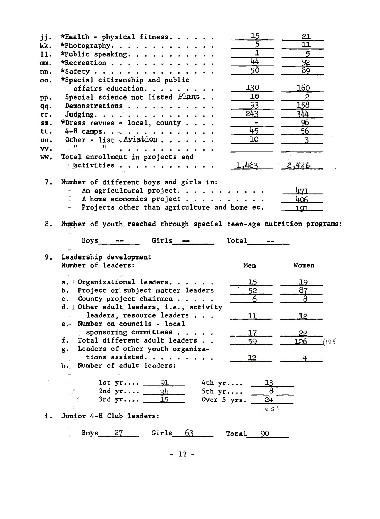| jj. | *Health - physical fitness.                                          | 15                           | 21                       |
|-----|----------------------------------------------------------------------|------------------------------|--------------------------|
| kk. | *Photography.                                                        |                              | $\overline{\mathtt{ll}}$ |
| 11. | *Public speaking.                                                    | $\overline{1}$               | 5                        |
| mm. | *Recreation                                                          | 44                           | 92                       |
| nn. | *Safety                                                              | $\overline{50}$              | $\overline{89}$          |
| OO. | *Special citizenship and public                                      |                              |                          |
|     | affairs education.                                                   | 130                          | 160                      |
| pp. | Special science not listed Plant                                     | 10                           | 2                        |
| qq. | Demonstrations                                                       | 93                           | 158                      |
| rr. | Judging.                                                             | 243                          | 344                      |
| SS. | *Dress revues - local, county                                        | $\qquad \qquad \blacksquare$ | 96                       |
| tt. | $4-H$ camps.                                                         | 45                           | 56                       |
| uu. | Other - list. Aviation                                               | 10                           | 3                        |
| vv. |                                                                      |                              |                          |
| ww. | Total enrollment in projects and                                     |                              |                          |
|     | activities                                                           | 1,463                        | 2,426                    |
|     |                                                                      |                              |                          |
| 7.  | Number of different boys and girls in:                               |                              |                          |
|     | An agricultural project.                                             |                              | 471                      |
|     | A home economics project<br>f.                                       |                              | 406                      |
|     | Projects other than agriculture and home ec.                         |                              | 191                      |
|     |                                                                      |                              |                          |
| 8.  | Number of youth reached through special teen-age nutrition programs: |                              |                          |
|     |                                                                      |                              |                          |
|     | $Girls$ --<br>Boys                                                   | Total                        |                          |
|     |                                                                      |                              |                          |
| 9.  | Leadership development                                               |                              |                          |
|     | Number of leaders:                                                   | Men                          | Women                    |
|     |                                                                      |                              |                          |
|     | a. Drganizational leaders.                                           | 15                           | 19<br>87                 |
|     | b. Project or subject matter leaders                                 | 52<br>6                      | $\overline{8}$           |
|     | c. County project chairmen                                           |                              |                          |
|     | d. Dther adult leaders, i.e., activity<br>leaders, resource leaders  |                              |                          |
|     | e. Number on councils - local                                        | 11                           | 12                       |
|     | sponsoring committees                                                |                              |                          |
|     | f. Total different adult leaders                                     | 17<br>59                     | 22<br>126                |
|     | g. Leaders of other youth organiza-                                  |                              | (185                     |
|     | tions assisted.                                                      | $12^{1}$                     |                          |
|     | Number of adult leaders:<br>h.                                       |                              |                          |
|     |                                                                      |                              |                          |
|     | 1st $yr 91$<br>4th yr                                                |                              |                          |
|     | 2nd $yr \dots$ $34$<br>5th yr                                        |                              |                          |
|     |                                                                      |                              |                          |
|     |                                                                      |                              |                          |
|     | 15<br>Over 5 yrs.                                                    | 24                           |                          |
| i.  |                                                                      | (145)                        |                          |
|     | Junior 4-H Club leaders:                                             |                              |                          |
|     | Ċ.<br>27<br>Girls 63<br>Boys                                         |                              |                          |
|     |                                                                      | Total 90                     |                          |

 $-12-$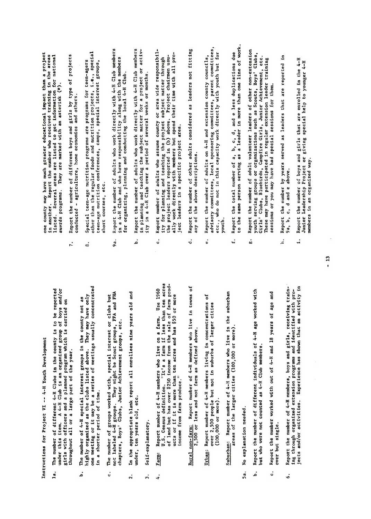Instructions for Project VI -- 4-H Youth Development

- throughout all or a large part of the year.  $1a.$
- in a shorter period of time. .<br>م
- The number of groups worked with, special interest or clubs  $\ddot{\circ}$
- under, ten years old, etc.  $\ddot{2}$
- Self-explanatory.  $\ddot{ }$
- $\begin{array}{ccc} \mathcal{P} & \mathcal{P} & \mathcal{P} & \mathcal{P} & \mathcal{P} & \mathcal{P} & \mathcal{P} & \mathcal{P} & \mathcal{P} & \mathcal{P} & \mathcal{P} & \mathcal{P} & \mathcal{P} & \mathcal{P} & \mathcal{P} & \mathcal{P} & \mathcal{P} & \mathcal{P} & \mathcal{P} & \mathcal{P} & \mathcal{P} & \mathcal{P} & \mathcal{P} & \mathcal{P} & \mathcal{P} & \mathcal{P} & \mathcal{P} & \mathcal{P} & \mathcal{P} & \mathcal{P} & \mathcal$ ing through organized extension programs and identified with projects and the first and or activity in the shown that an activity in the shown that an activity in the shown t<br>Shown that are shown that are shown that a shown that is a shown that is a shown that are shown that is a show income from farm produce." Farm:  $\ddot{4}$ 
	- **Rural**
- $(100,000$  or more). Urban:

areas of the larger cities (100,000 or more).

- No explanation needed. Sa.
- Report the number of different individuals of 4-H age worked with but who were not counted as 4-H Club members. .<br>م
- Report the number worked with out of 4-H and 18 years of age and over but single. .<br>U
- h. Report the number by years served as leaders that are reported in the number of that are reported in the reported in the served in the served as leaders that are reported in the served as leaders that are reported in t  $\mathbf{B}$ , d and e above. i. Report the number of boys and girls that are enrolled in the 4-H  $\frac{1}{2}$ eadership Project or giving special help to younger 4-H  $\frac{1}{2}$ embers in an organized way. .<br>ف

one county may have much greater educational impact than a project<br>in another. Report the number who received training in the areas<br>listed. Several areas are listed to get information for national<br>awards programs. They are

- 
- throughout all or a large part of the year.<br>The years of the year of the year. ia fi fili under, sold, etc.<br>Sold, etc., etc., etc., etc., etc., etc., etc., etc., etc., etc., etc., etc., etc., etc., et income from the farmer from the farmer from the farmer of the farmer of the farmer of the farmer of the farmer<br>Income from the farmer from the farmer of the farmer of the farmer of the farmer of the farmer of the farmer o  $(10 - 20 - 0.00)$  $\overrightarrow{r}$   $\overrightarrow{a}$
- 
- 
- $\frac{d}{dt}$  is the number of different 4-H  $\frac{d}{dt}$  is to be reported the county is to be reported to be reported to be reported to be reported to be reported to be reported to be reported to be reported to be reported to under this is a 4-H Club is a 4-H Club is an organized group of boys and the boys and organized group of boys <br>In a club is an organized group of boys and organized group of boys and organized group of boys and the boys a girls with one and a planned program which is carried one of the carried one of the carried one of the carried  $\mathbf{a} = \mathbf{b}$  . The number of  $\mathbf{a}$  interest groups in the county  $\mathbf{a}$  $\tilde{H}$   $\tilde{\phi}$  or  $\tilde{\phi}$  in the clubs list of clubs listed as the clubs list only in the clubs list on  $\tilde{\phi}$  $\overline{a}$  and  $\overline{a}$  it may be a series of meeting usually concentrated by  $\overline{a}$  meetings usually concentrated by  $\overline{a}$  and  $\overline{a}$  is  $\overline{a}$  is  $\overline{a}$  is  $\overline{a}$  is  $\overline{a}$  is  $\overline{a}$  is  $\overline{a}$  is  $\overline{a$ t. The number of groups with the special interest or clubs but of the special interest or clubs but of the spe not labeled 4-H groups. They might be Scott groups. They may be Scott groups. They are Scott groups, FFA and F thapters, Boys' Clubs, Suits, Suits, Clubs, Clubs, Clubs, Clubs, Clubs, Clubs, Clubs, Clubs, Clubs, Clubs, Clu 2. In the appropriate blank report all enrollees nine years old and  $\frac{a}{a}$ arm: Report number of  $\frac{a}{b}$  and  $\frac{a}{b}$   $\frac{a}{c}$   $\frac{a}{d}$  and  $\frac{a}{d}$   $\frac{a}{d}$   $\frac{a}{d}$   $\frac{a}{d}$ U.S. Census definition. "It's a farm in the acres of a farm if a farm if a farm if  $\frac{1}{2}$  and the acres of a<br>Definition of the acres than the acres of a farm if  $\frac{1}{2}$  and the acres of a farm if  $\frac{1}{2}$  and  $\frac{1}{2$ ure,<br>tritto de sale of farm production from the sale of farm production of farm production of farm production<br>the sale of farm production from the sale of farm production from the same production of the second production<br>t Rural non-farming in the second in the second in the second in the international contract in the second in the<br>Rural of the second in the international contract in the second in the second in the second in the second in t  $\frac{1}{2}$ ,  $\frac{1}{2}$ ,  $\frac{1}{2}$ ,  $\frac{1}{2}$ ,  $\frac{1}{2}$ ,  $\frac{1}{2}$ ,  $\frac{1}{2}$ ,  $\frac{1}{2}$ ,  $\frac{1}{2}$ ,  $\frac{1}{2}$ ,  $\frac{1}{2}$ ,  $\frac{1}{2}$ ,  $\frac{1}{2}$ ,  $\frac{1}{2}$ ,  $\frac{1}{2}$ ,  $\frac{1}{2}$ ,  $\frac{1}{2}$ ,  $\frac{1}{2}$ ,  $\frac{1}{2}$ ,  $\frac{1}{2}$ , Urban: Report number of 2,500 percentrations of the concentrations of the concentrations of the concentrations of the concentrations of the concentrations of the concentrations of the concentrations of  $\frac{1}{2}$ Suburban: Report numbers who live in the suburban.<br>Finally who live in the suburban members who live in the suburban members who live in the suburban members who areas die larger cities (100,000 or more).<br>Die larger cities (100,000 or more).
- 
- ه.<br>ه
- $\ddot{f}$
- Report the number of adult volunteer leaders of other non-extension youth serving groups or organizations such as Scouts, Boys' Clubs, Girls' Clubs, Bluebirds, Campfire Girls, Junior Achievement, etc. These may have participated in regular extension leader training 8.
- 
- listed. Several areas are listed to get information for national awards programs. The  $n_{\rm H}$  $r_{\rm{e}}$  and  $r_{\rm{e}}$  of  $r_{\rm{e}}$  $\overline{u}$  and  $\overline{v}$  $\begin{array}{ccc} \bullet & \bullet & \bullet \\ \bullet & \bullet & \bullet \end{array}$ other than the regu1�r foods and nutrition projects, i.e., special  $t_{\rm c}$  and  $t_{\rm c}$  and  $t_{\rm c}$  groups, special interest groups, special interest groups, special interest groups,  $s_{\rm H}$  courses, etc...  $\begin{array}{ccc} \text{9} & \text{9} & \text{1} \\ \text{10} & \text{11} & \text{11} \\ \text{12} & \text{12} & \text{13} \\ \text{14} & \text{14} & \text{15} \end{array}$  $\frac{4}{4}$   $\frac{4}{4}$  club and with the members  $\frac{4}{4}$  club and with the members  $\frac{4}{4}$  club and with the members  $\frac{4}{4}$  club and with the members  $\frac{4}{4}$  club and with the members  $\frac{4}{4}$  club and with the mem  $f_{\alpha}$  organizing, planning and conducting the local 4-H  $C$  $\begin{array}{ccc} \text{R} & \text{R} & \text{R} \\ \text{R} & \text{R} & \text{R} \\ \text{R} & \text{R} & \text{R} \end{array}$  $\overline{c}$ ing the subject matter for a project or a project or activities of a project or activities or activities of activities of activities of activities of activities of activities of activities of activities of activit  $\mathbf{f}_{\mathbf{z}}$  $\begin{array}{c}\n\circ \\
\circ \\
\circ\n\end{array}$  $\frac{a}{\alpha}$  for planning the project subject  $\frac{b}{\alpha}$  $\frac{p}{p}$  by above. Project chairmen usu- $\frac{1}{2}$  directly with  $\frac{1}{2}$  directly with all pro $j_{\rm c}$  in a specific project area.  $\ddot{a}$  report the number of other adults considered as leaders not fitting as leaders not fitting  $\ddot{a}$  $\frac{1}{2}$  the above descriptions.  $\mathbf{e}^{\mathbf{e}}$  and  $\mathbf{e}^{\mathbf{e}}$  and  $\mathbf{e}^{\mathbf{e}}$  and  $\mathbf{e}^{\mathbf{e}}$  and  $\mathbf{e}^{\mathbf{e}}$  county county county county county county county county county county county county county county county county county county  $\sigma$  design committees,  $\sigma$  $\ddot{\phantom{a}}$  who do not in this capacity with  $\ddot{\phantom{a}}$ 9a, b, c, d and e above.<br>Report the number of boys and girls that are enrolled in the 4-H  $\vec{r}$  a,  $\vec{r}$  a, and e less due to and e less due to an and e less due to an and e less due to an and e less due to an to the same person serving as <sup>a</sup> leader in more than one line of work.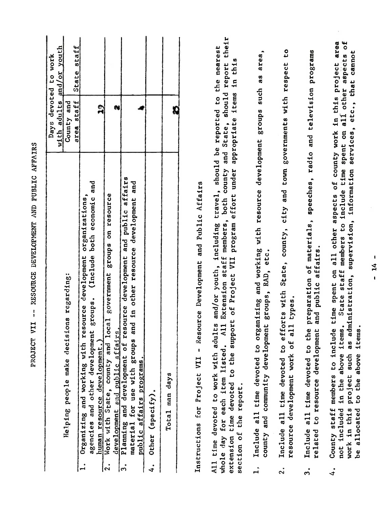| $with$ $adults$<br>County and<br>area staff<br>Days<br>Helping people make decisions regarding:                                                                                                                                                                                                                                                                                                       | devoted to work           |
|-------------------------------------------------------------------------------------------------------------------------------------------------------------------------------------------------------------------------------------------------------------------------------------------------------------------------------------------------------------------------------------------------------|---------------------------|
|                                                                                                                                                                                                                                                                                                                                                                                                       | and/or youth              |
|                                                                                                                                                                                                                                                                                                                                                                                                       |                           |
| Organizing and working with resource development organizations,<br>$\mathbf{L}$                                                                                                                                                                                                                                                                                                                       | State staff               |
| $\mathbf{r}$<br>and<br>(Include both economic<br>agencies and other development groups.<br>human resource development                                                                                                                                                                                                                                                                                 |                           |
| N<br>Work with State, county and local government groups on resource<br>development and public affairs.<br>$ \cdot $                                                                                                                                                                                                                                                                                  |                           |
| Planning and development of resource development and public affairs<br>material for use with groups and in other resource development and<br>and<br>development<br>and in other resource<br>for use with groups<br>public affairs programs.<br>$\cdot$                                                                                                                                                |                           |
| $(spectfy)$ .<br>Other<br>4.                                                                                                                                                                                                                                                                                                                                                                          |                           |
| Q<br>Total man days                                                                                                                                                                                                                                                                                                                                                                                   |                           |
| Resource Development and Public Affairs<br>$\begin{array}{c} \hline \end{array}$<br>Instructions for Project VII                                                                                                                                                                                                                                                                                      |                           |
| both county and State, should report their<br>adults and/or youth, including travel, should be reported to the nearest<br>appropriate items<br>extension time devoted to the support of Project VII program effort under<br>Extension staff members,<br>A11<br>whole day for each item listed.<br>All time devoted to work with<br>report.<br>section of the                                          | th <sub>1s</sub><br>$\Xi$ |
| organizing and working with resource development groups such as area,<br>county and community development groups, RAD, etc.<br>Include all time devoted to<br>$\mathbf{1}$ ,                                                                                                                                                                                                                          |                           |
| efforts with State, county, city and town governments with respect<br>all types.<br>resource development work of<br>Include all time devoted to<br>$\ddot{2}$ .                                                                                                                                                                                                                                       | CO                        |
| preparation of materials, speeches, radio and television programs<br>and public affairs.<br>the<br>related to resource development<br>Include all time devoted to<br>$\ddot{ }$                                                                                                                                                                                                                       |                           |
| County staff members to include time spent on all other aspects of county work in this project area<br>ms. State staff members to include time spent on all other aspects of<br>administration, supervision, information services, etc., that cannot<br>tems.<br>tems.<br>ā<br>H<br>⊣<br>above<br>to the above<br>project such<br>not included in the<br>allocated<br>work in this<br>ه<br>$\ddot{ }$ |                           |
| $\mathbf{I}$<br>$\frac{1}{4}$<br>$\mathbf{I}$                                                                                                                                                                                                                                                                                                                                                         |                           |